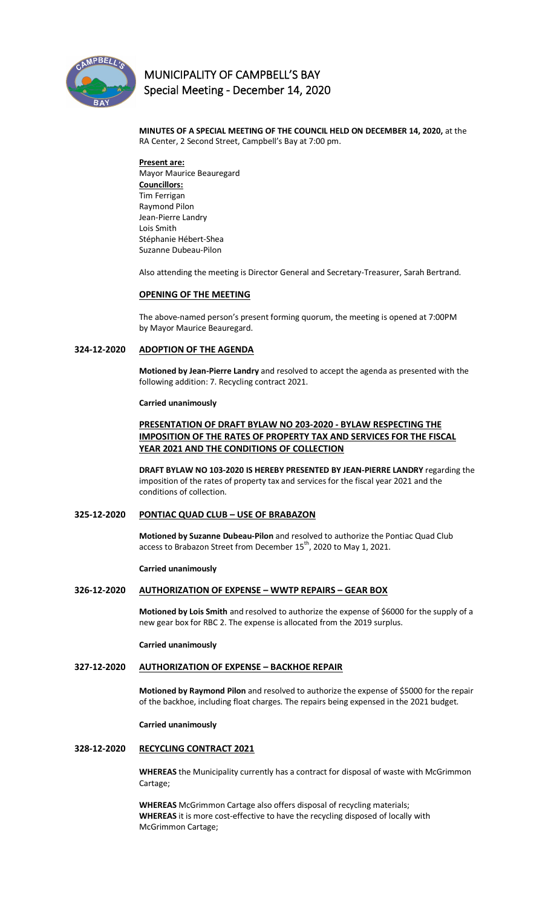

# **MUNICIPALITY OF CAMPBELL'S BAY Special Meeting - December 14, 2020**

 **MINUTES OF A SPECIAL MEETING OF THE COUNCIL HELD ON DECEMBER 14, 2020,** at the RA Center, 2 Second Street, Campbell's Bay at 7:00 pm.

**Present are:**  Mayor Maurice Beauregard **Councillors:** Tim Ferrigan Raymond Pilon Jean-Pierre Landry Lois Smith Stéphanie Hébert-Shea Suzanne Dubeau-Pilon

Also attending the meeting is Director General and Secretary-Treasurer, Sarah Bertrand.

### **OPENING OF THE MEETING**

The above-named person's present forming quorum, the meeting is opened at 7:00PM by Mayor Maurice Beauregard.

### **324-12-2020 ADOPTION OF THE AGENDA**

**Motioned by Jean-Pierre Landry** and resolved to accept the agenda as presented with the following addition: 7. Recycling contract 2021.

#### **Carried unanimously**

# **PRESENTATION OF DRAFT BYLAW NO 203-2020 - BYLAW RESPECTING THE IMPOSITION OF THE RATES OF PROPERTY TAX AND SERVICES FOR THE FISCAL YEAR 2021 AND THE CONDITIONS OF COLLECTION**

**DRAFT BYLAW NO 103-2020 IS HEREBY PRESENTED BY JEAN-PIERRE LANDRY** regarding the imposition of the rates of property tax and services for the fiscal year 2021 and the conditions of collection.

# **325-12-2020 PONTIAC QUAD CLUB – USE OF BRABAZON**

**Motioned by Suzanne Dubeau-Pilon** and resolved to authorize the Pontiac Quad Club access to Brabazon Street from December  $15^{th}$ , 2020 to May 1, 2021.

#### **Carried unanimously**

# **326-12-2020 AUTHORIZATION OF EXPENSE – WWTP REPAIRS – GEAR BOX**

**Motioned by Lois Smith** and resolved to authorize the expense of \$6000 for the supply of a new gear box for RBC 2. The expense is allocated from the 2019 surplus.

**Carried unanimously**

### **327-12-2020 AUTHORIZATION OF EXPENSE – BACKHOE REPAIR**

**Motioned by Raymond Pilon** and resolved to authorize the expense of \$5000 for the repair of the backhoe, including float charges. The repairs being expensed in the 2021 budget.

**Carried unanimously**

#### **328-12-2020 RECYCLING CONTRACT 2021**

**WHEREAS** the Municipality currently has a contract for disposal of waste with McGrimmon Cartage;

**WHEREAS** McGrimmon Cartage also offers disposal of recycling materials; **WHEREAS** it is more cost-effective to have the recycling disposed of locally with McGrimmon Cartage;